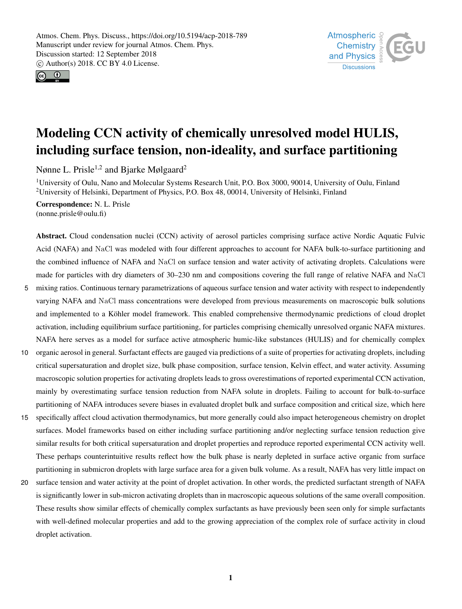



# Modeling CCN activity of chemically unresolved model HULIS, including surface tension, non-ideality, and surface partitioning

Nønne L. Prisle<sup>1,2</sup> and Bjarke Mølgaard<sup>2</sup>

 $1$ University of Oulu, Nano and Molecular Systems Research Unit, P.O. Box 3000, 90014, University of Oulu, Finland <sup>2</sup>University of Helsinki, Department of Physics, P.O. Box 48, 00014, University of Helsinki, Finland

Correspondence: N. L. Prisle (nonne.prisle@oulu.fi)

Abstract. Cloud condensation nuclei (CCN) activity of aerosol particles comprising surface active Nordic Aquatic Fulvic Acid (NAFA) and NaCl was modeled with four different approaches to account for NAFA bulk-to-surface partitioning and the combined influence of NAFA and NaCl on surface tension and water activity of activating droplets. Calculations were made for particles with dry diameters of 30–230 nm and compositions covering the full range of relative NAFA and NaCl

- 5 mixing ratios. Continuous ternary parametrizations of aqueous surface tension and water activity with respect to independently varying NAFA and NaCl mass concentrations were developed from previous measurements on macroscopic bulk solutions and implemented to a Köhler model framework. This enabled comprehensive thermodynamic predictions of cloud droplet activation, including equilibrium surface partitioning, for particles comprising chemically unresolved organic NAFA mixtures. NAFA here serves as a model for surface active atmospheric humic-like substances (HULIS) and for chemically complex
- 10 organic aerosol in general. Surfactant effects are gauged via predictions of a suite of properties for activating droplets, including critical supersaturation and droplet size, bulk phase composition, surface tension, Kelvin effect, and water activity. Assuming macroscopic solution properties for activating droplets leads to gross overestimations of reported experimental CCN activation, mainly by overestimating surface tension reduction from NAFA solute in droplets. Failing to account for bulk-to-surface partitioning of NAFA introduces severe biases in evaluated droplet bulk and surface composition and critical size, which here
- 15 specifically affect cloud activation thermodynamics, but more generally could also impact heterogeneous chemistry on droplet surfaces. Model frameworks based on either including surface partitioning and/or neglecting surface tension reduction give similar results for both critical supersaturation and droplet properties and reproduce reported experimental CCN activity well. These perhaps counterintuitive results reflect how the bulk phase is nearly depleted in surface active organic from surface partitioning in submicron droplets with large surface area for a given bulk volume. As a result, NAFA has very little impact on
- 20 surface tension and water activity at the point of droplet activation. In other words, the predicted surfactant strength of NAFA is significantly lower in sub-micron activating droplets than in macroscopic aqueous solutions of the same overall composition. These results show similar effects of chemically complex surfactants as have previously been seen only for simple surfactants with well-defined molecular properties and add to the growing appreciation of the complex role of surface activity in cloud droplet activation.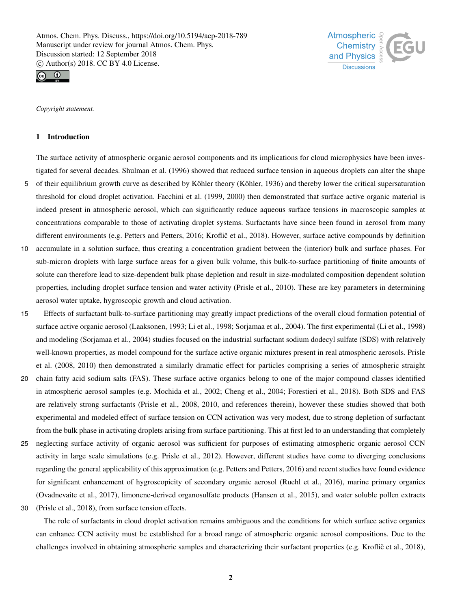



*Copyright statement.*

## 1 Introduction

The surface activity of atmospheric organic aerosol components and its implications for cloud microphysics have been investigated for several decades. Shulman et al. (1996) showed that reduced surface tension in aqueous droplets can alter the shape

- 5 of their equilibrium growth curve as described by Köhler theory (Köhler, 1936) and thereby lower the critical supersaturation threshold for cloud droplet activation. Facchini et al. (1999, 2000) then demonstrated that surface active organic material is indeed present in atmospheric aerosol, which can significantly reduce aqueous surface tensions in macroscopic samples at concentrations comparable to those of activating droplet systems. Surfactants have since been found in aerosol from many different environments (e.g. Petters and Petters, 2016; Kroflic et al., 2018). However, surface active compounds by definition
- 10 accumulate in a solution surface, thus creating a concentration gradient between the (interior) bulk and surface phases. For sub-micron droplets with large surface areas for a given bulk volume, this bulk-to-surface partitioning of finite amounts of solute can therefore lead to size-dependent bulk phase depletion and result in size-modulated composition dependent solution properties, including droplet surface tension and water activity (Prisle et al., 2010). These are key parameters in determining aerosol water uptake, hygroscopic growth and cloud activation.
- 15 Effects of surfactant bulk-to-surface partitioning may greatly impact predictions of the overall cloud formation potential of surface active organic aerosol (Laaksonen, 1993; Li et al., 1998; Sorjamaa et al., 2004). The first experimental (Li et al., 1998) and modeling (Sorjamaa et al., 2004) studies focused on the industrial surfactant sodium dodecyl sulfate (SDS) with relatively well-known properties, as model compound for the surface active organic mixtures present in real atmospheric aerosols. Prisle et al. (2008, 2010) then demonstrated a similarly dramatic effect for particles comprising a series of atmospheric straight
- 20 chain fatty acid sodium salts (FAS). These surface active organics belong to one of the major compound classes identified in atmospheric aerosol samples (e.g. Mochida et al., 2002; Cheng et al., 2004; Forestieri et al., 2018). Both SDS and FAS are relatively strong surfactants (Prisle et al., 2008, 2010, and references therein), however these studies showed that both experimental and modeled effect of surface tension on CCN activation was very modest, due to strong depletion of surfactant from the bulk phase in activating droplets arising from surface partitioning. This at first led to an understanding that completely
- 25 neglecting surface activity of organic aerosol was sufficient for purposes of estimating atmospheric organic aerosol CCN activity in large scale simulations (e.g. Prisle et al., 2012). However, different studies have come to diverging conclusions regarding the general applicability of this approximation (e.g. Petters and Petters, 2016) and recent studies have found evidence for significant enhancement of hygroscopicity of secondary organic aerosol (Ruehl et al., 2016), marine primary organics (Ovadnevaite et al., 2017), limonene-derived organosulfate products (Hansen et al., 2015), and water soluble pollen extracts
- 30 (Prisle et al., 2018), from surface tension effects.

The role of surfactants in cloud droplet activation remains ambiguous and the conditions for which surface active organics can enhance CCN activity must be established for a broad range of atmospheric organic aerosol compositions. Due to the challenges involved in obtaining atmospheric samples and characterizing their surfactant properties (e.g. Kroflič et al., 2018),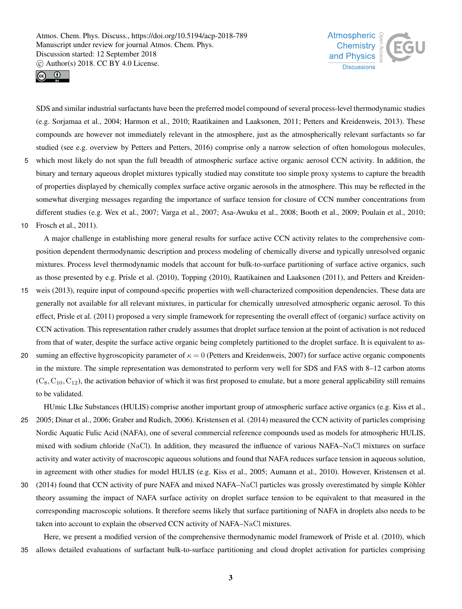



SDS and similar industrial surfactants have been the preferred model compound of several process-level thermodynamic studies (e.g. Sorjamaa et al., 2004; Harmon et al., 2010; Raatikainen and Laaksonen, 2011; Petters and Kreidenweis, 2013). These compounds are however not immediately relevant in the atmosphere, just as the atmospherically relevant surfactants so far studied (see e.g. overview by Petters and Petters, 2016) comprise only a narrow selection of often homologous molecules,

- 5 which most likely do not span the full breadth of atmospheric surface active organic aerosol CCN activity. In addition, the binary and ternary aqueous droplet mixtures typically studied may constitute too simple proxy systems to capture the breadth of properties displayed by chemically complex surface active organic aerosols in the atmosphere. This may be reflected in the somewhat diverging messages regarding the importance of surface tension for closure of CCN number concentrations from different studies (e.g. Wex et al., 2007; Varga et al., 2007; Asa-Awuku et al., 2008; Booth et al., 2009; Poulain et al., 2010;
- 10 Frosch et al., 2011).

A major challenge in establishing more general results for surface active CCN activity relates to the comprehensive composition dependent thermodynamic description and process modeling of chemically diverse and typically unresolved organic mixtures. Process level thermodynamic models that account for bulk-to-surface partitioning of surface active organics, such as those presented by e.g. Prisle et al. (2010), Topping (2010), Raatikainen and Laaksonen (2011), and Petters and Kreiden-

- 15 weis (2013), require input of compound-specific properties with well-characterized composition dependencies. These data are generally not available for all relevant mixtures, in particular for chemically unresolved atmospheric organic aerosol. To this effect, Prisle et al. (2011) proposed a very simple framework for representing the overall effect of (organic) surface activity on CCN activation. This representation rather crudely assumes that droplet surface tension at the point of activation is not reduced from that of water, despite the surface active organic being completely partitioned to the droplet surface. It is equivalent to as-
- 20 suming an effective hygroscopicity parameter of  $\kappa = 0$  (Petters and Kreidenweis, 2007) for surface active organic components in the mixture. The simple representation was demonstrated to perform very well for SDS and FAS with 8–12 carbon atoms  $(C_8, C_{10}, C_{12})$ , the activation behavior of which it was first proposed to emulate, but a more general applicability still remains to be validated.

HUmic LIke Substances (HULIS) comprise another important group of atmospheric surface active organics (e.g. Kiss et al., 25 2005; Dinar et al., 2006; Graber and Rudich, 2006). Kristensen et al. (2014) measured the CCN activity of particles comprising Nordic Aquatic Fulic Acid (NAFA), one of several commercial reference compounds used as models for atmospheric HULIS, mixed with sodium chloride (NaCl). In addition, they measured the influence of various NAFA–NaCl mixtures on surface activity and water activity of macroscopic aqueous solutions and found that NAFA reduces surface tension in aqueous solution, in agreement with other studies for model HULIS (e.g. Kiss et al., 2005; Aumann et al., 2010). However, Kristensen et al.

30 (2014) found that CCN activity of pure NAFA and mixed NAFA–NaCl particles was grossly overestimated by simple Köhler theory assuming the impact of NAFA surface activity on droplet surface tension to be equivalent to that measured in the corresponding macroscopic solutions. It therefore seems likely that surface partitioning of NAFA in droplets also needs to be taken into account to explain the observed CCN activity of NAFA–NaCl mixtures.

Here, we present a modified version of the comprehensive thermodynamic model framework of Prisle et al. (2010), which 35 allows detailed evaluations of surfactant bulk-to-surface partitioning and cloud droplet activation for particles comprising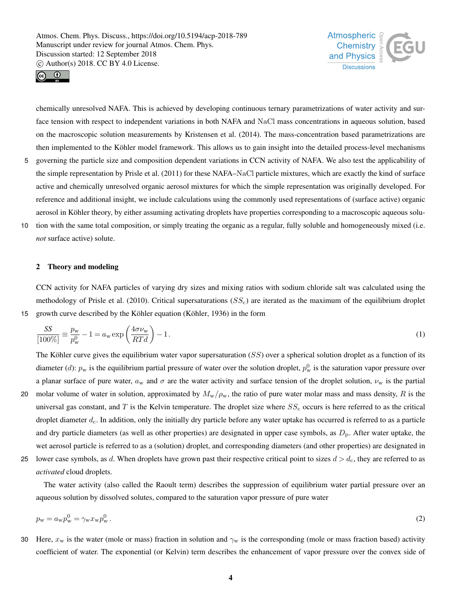



chemically unresolved NAFA. This is achieved by developing continuous ternary parametrizations of water activity and surface tension with respect to independent variations in both NAFA and NaCl mass concentrations in aqueous solution, based on the macroscopic solution measurements by Kristensen et al. (2014). The mass-concentration based parametrizations are then implemented to the Köhler model framework. This allows us to gain insight into the detailed process-level mechanisms

- 5 governing the particle size and composition dependent variations in CCN activity of NAFA. We also test the applicability of the simple representation by Prisle et al. (2011) for these NAFA–NaCl particle mixtures, which are exactly the kind of surface active and chemically unresolved organic aerosol mixtures for which the simple representation was originally developed. For reference and additional insight, we include calculations using the commonly used representations of (surface active) organic aerosol in Köhler theory, by either assuming activating droplets have properties corresponding to a macroscopic aqueous solu-
- 10 tion with the same total composition, or simply treating the organic as a regular, fully soluble and homogeneously mixed (i.e. *not* surface active) solute.

## 2 Theory and modeling

CCN activity for NAFA particles of varying dry sizes and mixing ratios with sodium chloride salt was calculated using the methodology of Prisle et al. (2010). Critical supersaturations  $(SS<sub>c</sub>)$  are iterated as the maximum of the equilibrium droplet 15 growth curve described by the Köhler equation (Köhler, 1936) in the form

$$
\frac{SS}{[100\%]} \equiv \frac{p_{\rm w}}{p_{\rm w}^0} - 1 = a_{\rm w} \exp\left(\frac{4\sigma\nu_{\rm w}}{RTd}\right) - 1. \tag{1}
$$

The Köhler curve gives the equilibrium water vapor supersaturation  $(SS)$  over a spherical solution droplet as a function of its diameter (*d*):  $p_w$  is the equilibrium partial pressure of water over the solution droplet,  $p_w^0$  is the saturation vapor pressure over a planar surface of pure water,  $a_w$  and  $\sigma$  are the water activity and surface tension of the droplet solution,  $\nu_w$  is the partial 20 molar volume of water in solution, approximated by  $M_{\rm w}/\rho_{\rm w}$ , the ratio of pure water molar mass and mass density, R is the universal gas constant, and T is the Kelvin temperature. The droplet size where  $SS_c$  occurs is here referred to as the critical droplet diameter  $d_c$ . In addition, only the initially dry particle before any water uptake has occurred is referred to as a particle and dry particle diameters (as well as other properties) are designated in upper case symbols, as  $D<sub>p</sub>$ . After water uptake, the wet aerosol particle is referred to as a (solution) droplet, and corresponding diameters (and other properties) are designated in 25 lower case symbols, as d. When droplets have grown past their respective critical point to sizes  $d > d_c$ , they are referred to as *activated* cloud droplets.

The water activity (also called the Raoult term) describes the suppression of equilibrium water partial pressure over an aqueous solution by dissolved solutes, compared to the saturation vapor pressure of pure water

$$
p_{\mathbf{w}} = a_{\mathbf{w}} p_{\mathbf{w}}^0 = \gamma_{\mathbf{w}} x_{\mathbf{w}} p_{\mathbf{w}}^0. \tag{2}
$$

30 Here,  $x_w$  is the water (mole or mass) fraction in solution and  $\gamma_w$  is the corresponding (mole or mass fraction based) activity coefficient of water. The exponential (or Kelvin) term describes the enhancement of vapor pressure over the convex side of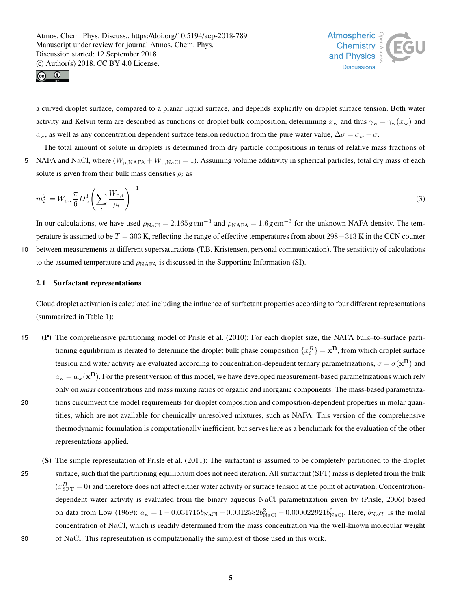



a curved droplet surface, compared to a planar liquid surface, and depends explicitly on droplet surface tension. Both water activity and Kelvin term are described as functions of droplet bulk composition, determining  $x_w$  and thus  $\gamma_w = \gamma_w(x_w)$  and  $a_w$ , as well as any concentration dependent surface tension reduction from the pure water value,  $\Delta \sigma = \sigma_w - \sigma$ .

The total amount of solute in droplets is determined from dry particle compositions in terms of relative mass fractions of 5 NAFA and NaCl, where  $(W_{p,NAFA} + W_{p,NaCl} = 1)$ . Assuming volume additivity in spherical particles, total dry mass of each solute is given from their bulk mass densities  $\rho_i$  as

$$
m_i^T = W_{\rm p,i} \frac{\pi}{6} D_{\rm p}^3 \left( \sum_i \frac{W_{\rm p,i}}{\rho_i} \right)^{-1} \tag{3}
$$

In our calculations, we have used  $\rho_{\text{NaCl}} = 2.165 \text{ g cm}^{-3}$  and  $\rho_{\text{NAFA}} = 1.6 \text{ g cm}^{-3}$  for the unknown NAFA density. The temperature is assumed to be  $T = 303$  K, reflecting the range of effective temperatures from about  $298-313$  K in the CCN counter 10 between measurements at different supersaturations (T.B. Kristensen, personal communication). The sensitivity of calculations to the assumed temperature and  $\rho_{\text{NAFA}}$  is discussed in the Supporting Information (SI).

#### 2.1 Surfactant representations

Cloud droplet activation is calculated including the influence of surfactant properties according to four different representations (summarized in Table 1):

- 15 (P) The comprehensive partitioning model of Prisle et al. (2010): For each droplet size, the NAFA bulk–to–surface partitioning equilibrium is iterated to determine the droplet bulk phase composition  $\{x_i^B\} = \mathbf{x}^{\mathbf{B}}$ , from which droplet surface tension and water activity are evaluated according to concentration-dependent ternary parametrizations,  $\sigma=\sigma({\bf x^B})$  and  $a_w = a_w(x^B)$ . For the present version of this model, we have developed measurement-based parametrizations which rely only on *mass* concentrations and mass mixing ratios of organic and inorganic components. The mass-based parametriza-20 tions circumvent the model requirements for droplet composition and composition-dependent properties in molar quantities, which are not available for chemically unresolved mixtures, such as NAFA. This version of the comprehensive thermodynamic formulation is computationally inefficient, but serves here as a benchmark for the evaluation of the other representations applied.
- (S) The simple representation of Prisle et al. (2011): The surfactant is assumed to be completely partitioned to the droplet 25 surface, such that the partitioning equilibrium does not need iteration. All surfactant (SFT) mass is depleted from the bulk  $(x_{\text{SFT}}^B = 0)$  and therefore does not affect either water activity or surface tension at the point of activation. Concentrationdependent water activity is evaluated from the binary aqueous NaCl parametrization given by (Prisle, 2006) based on data from Low (1969):  $a_w = 1 - 0.031715b_{\text{NaCl}} + 0.0012582b_{\text{NaCl}}^2 - 0.000022921b_{\text{NaCl}}^3$ . Here,  $b_{\text{NaCl}}$  is the molal concentration of NaCl, which is readily determined from the mass concentration via the well-known molecular weight 30 of NaCl. This representation is computationally the simplest of those used in this work.

5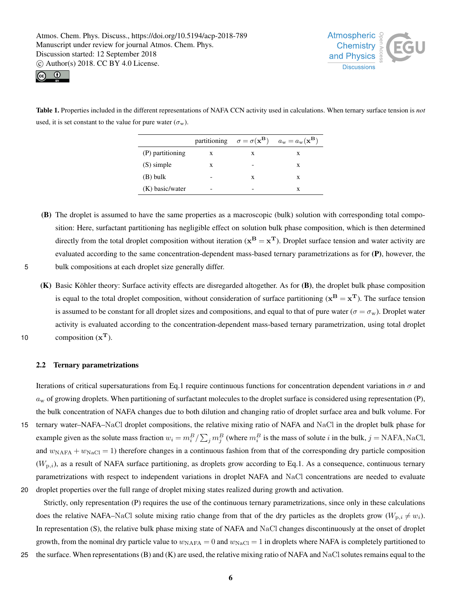



Table 1. Properties included in the different representations of NAFA CCN activity used in calculations. When ternary surface tension is *not* used, it is set constant to the value for pure water  $(\sigma_w)$ .

|                   |   | partitioning $\sigma = \sigma(\mathbf{x}^{\mathbf{B}})$ | $a_{\rm w} = a_{\rm w}({\bf x}^{\bf B})$ |
|-------------------|---|---------------------------------------------------------|------------------------------------------|
| (P) partitioning  | x | X                                                       | X                                        |
| $(S)$ simple      | X |                                                         | X                                        |
| $(B)$ bulk        |   | x                                                       | x                                        |
| $(K)$ basic/water |   |                                                         | X                                        |

(B) The droplet is assumed to have the same properties as a macroscopic (bulk) solution with corresponding total composition: Here, surfactant partitioning has negligible effect on solution bulk phase composition, which is then determined directly from the total droplet composition without iteration ( $x^B = x^T$ ). Droplet surface tension and water activity are evaluated according to the same concentration-dependent mass-based ternary parametrizations as for (P), however, the

- 5 bulk compositions at each droplet size generally differ.
- (K) Basic Köhler theory: Surface activity effects are disregarded altogether. As for (B), the droplet bulk phase composition is equal to the total droplet composition, without consideration of surface partitioning ( $x^B = x^T$ ). The surface tension is assumed to be constant for all droplet sizes and compositions, and equal to that of pure water ( $\sigma = \sigma_w$ ). Droplet water activity is evaluated according to the concentration-dependent mass-based ternary parametrization, using total droplet 10 composition  $(\mathbf{x}^{\mathrm{T}})$ .
- 

# 2.2 Ternary parametrizations

Iterations of critical supersaturations from Eq.1 require continuous functions for concentration dependent variations in  $\sigma$  and  $a<sub>w</sub>$  of growing droplets. When partitioning of surfactant molecules to the droplet surface is considered using representation (P), the bulk concentration of NAFA changes due to both dilution and changing ratio of droplet surface area and bulk volume. For 15 ternary water–NAFA–NaCl droplet compositions, the relative mixing ratio of NAFA and NaCl in the droplet bulk phase for example given as the solute mass fraction  $w_i = m_i^B / \sum_j m_j^B$  (where  $m_i^B$  is the mass of solute *i* in the bulk,  $j = \text{NAFA}$ , NaCl, and  $w_{\text{NAFA}} + w_{\text{NaCl}} = 1$ ) therefore changes in a continuous fashion from that of the corresponding dry particle composition  $(W_{p,i})$ , as a result of NAFA surface partitioning, as droplets grow according to Eq.1. As a consequence, continuous ternary parametrizations with respect to independent variations in droplet NAFA and NaCl concentrations are needed to evaluate 20 droplet properties over the full range of droplet mixing states realized during growth and activation.

Strictly, only representation (P) requires the use of the continuous ternary parametrizations, since only in these calculations does the relative NAFA–NaCl solute mixing ratio change from that of the dry particles as the droplets grow  $(W_{p,i} \neq w_i)$ . In representation (S), the relative bulk phase mixing state of NAFA and NaCl changes discontinuously at the onset of droplet growth, from the nominal dry particle value to  $w_{\text{NAFA}} = 0$  and  $w_{\text{NaCl}} = 1$  in droplets where NAFA is completely partitioned to 25 the surface. When representations (B) and (K) are used, the relative mixing ratio of NAFA and NaClsolutes remains equal to the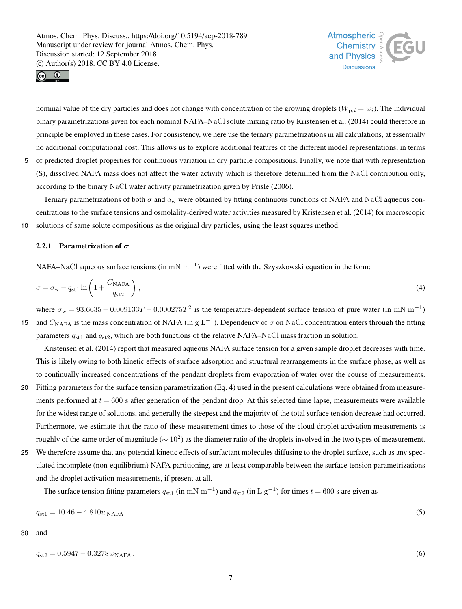



nominal value of the dry particles and does not change with concentration of the growing droplets  $(W_{p,i} = w_i)$ . The individual binary parametrizations given for each nominal NAFA–NaCl solute mixing ratio by Kristensen et al. (2014) could therefore in principle be employed in these cases. For consistency, we here use the ternary parametrizations in all calculations, at essentially no additional computational cost. This allows us to explore additional features of the different model representations, in terms 5 of predicted droplet properties for continuous variation in dry particle compositions. Finally, we note that with representation

(S), dissolved NAFA mass does not affect the water activity which is therefore determined from the NaCl contribution only, according to the binary NaCl water activity parametrization given by Prisle (2006).

Ternary parametrizations of both  $\sigma$  and  $a_w$  were obtained by fitting continuous functions of NAFA and NaCl aqueous concentrations to the surface tensions and osmolality-derived water activities measured by Kristensen et al. (2014) for macroscopic 10 solutions of same solute compositions as the original dry particles, using the least squares method.

#### 2.2.1 Parametrization of  $\sigma$

NAFA–NaCl aqueous surface tensions (in mN  $m^{-1}$ ) were fitted with the Szyszkowski equation in the form:

$$
\sigma = \sigma_{\rm w} - q_{\rm st1} \ln \left( 1 + \frac{C_{\rm NAFA}}{q_{\rm st2}} \right),\tag{4}
$$

where  $\sigma_w = 93.6635 + 0.009133T - 0.000275T^2$  is the temperature-dependent surface tension of pure water (in mN m<sup>-1</sup>) 15 and  $C_{\text{NAFA}}$  is the mass concentration of NAFA (in g L<sup>-1</sup>). Dependency of  $\sigma$  on NaCl concentration enters through the fitting parameters  $q_{st1}$  and  $q_{st2}$ , which are both functions of the relative NAFA–NaCl mass fraction in solution.

Kristensen et al. (2014) report that measured aqueous NAFA surface tension for a given sample droplet decreases with time. This is likely owing to both kinetic effects of surface adsorption and structural rearrangements in the surface phase, as well as to continually increased concentrations of the pendant droplets from evaporation of water over the course of measurements.

- 20 Fitting parameters for the surface tension parametrization (Eq. 4) used in the present calculations were obtained from measurements performed at  $t = 600$  s after generation of the pendant drop. At this selected time lapse, measurements were available for the widest range of solutions, and generally the steepest and the majority of the total surface tension decrease had occurred. Furthermore, we estimate that the ratio of these measurement times to those of the cloud droplet activation measurements is roughly of the same order of magnitude ( $\sim 10^2$ ) as the diameter ratio of the droplets involved in the two types of measurement.
- 25 We therefore assume that any potential kinetic effects of surfactant molecules diffusing to the droplet surface, such as any speculated incomplete (non-equilibrium) NAFA partitioning, are at least comparable between the surface tension parametrizations and the droplet activation measurements, if present at all.

The surface tension fitting parameters  $q_{st1}$  (in mN m<sup>-1</sup>) and  $q_{st2}$  (in L g<sup>-1</sup>) for times  $t = 600$  s are given as

$$
q_{\rm st1} = 10.46 - 4.810w_{\rm NAFA} \tag{5}
$$

#### 30 and

$$
q_{\rm st2} = 0.5947 - 0.3278w_{\rm NAFA} \,. \tag{6}
$$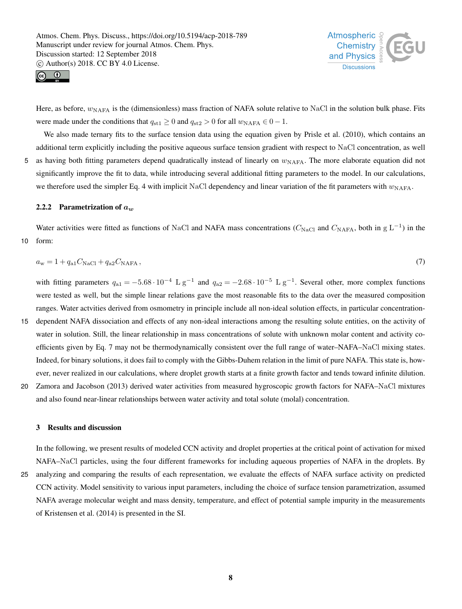



Here, as before,  $w_{\text{NAFA}}$  is the (dimensionless) mass fraction of NAFA solute relative to NaCl in the solution bulk phase. Fits were made under the conditions that  $q_{st1} \ge 0$  and  $q_{st2} > 0$  for all  $w_{\text{NAFA}} \in 0 - 1$ .

We also made ternary fits to the surface tension data using the equation given by Prisle et al. (2010), which contains an additional term explicitly including the positive aqueous surface tension gradient with respect to NaCl concentration, as well 5 as having both fitting parameters depend quadratically instead of linearly on  $w_{\text{NAFA}}$ . The more elaborate equation did not significantly improve the fit to data, while introducing several additional fitting parameters to the model. In our calculations, we therefore used the simpler Eq. 4 with implicit NaCl dependency and linear variation of the fit parameters with  $w<sub>NAFA</sub>$ .

#### 2.2.2 Parametrization of  $a_w$

Water activities were fitted as functions of NaCl and NAFA mass concentrations ( $C_{\text{NaCl}}$  and  $C_{\text{NAFA}}$ , both in g L<sup>-1</sup>) in the 10 form:

$$
a_{\rm w} = 1 + q_{\rm a1} C_{\rm NaCl} + q_{\rm a2} C_{\rm NAFA} \,,\tag{7}
$$

with fitting parameters  $q_{a1} = -5.68 \cdot 10^{-4}$  L g<sup>-1</sup> and  $q_{a2} = -2.68 \cdot 10^{-5}$  L g<sup>-1</sup>. Several other, more complex functions were tested as well, but the simple linear relations gave the most reasonable fits to the data over the measured composition ranges. Water actvities derived from osmometry in principle include all non-ideal solution effects, in particular concentration-

- 15 dependent NAFA dissociation and effects of any non-ideal interactions among the resulting solute entities, on the activity of water in solution. Still, the linear relationship in mass concentrations of solute with unknown molar content and activity coefficients given by Eq. 7 may not be thermodynamically consistent over the full range of water–NAFA–NaCl mixing states. Indeed, for binary solutions, it does fail to comply with the Gibbs-Duhem relation in the limit of pure NAFA. This state is, however, never realized in our calculations, where droplet growth starts at a finite growth factor and tends toward infinite dilution.
- 20 Zamora and Jacobson (2013) derived water activities from measured hygroscopic growth factors for NAFA–NaCl mixtures and also found near-linear relationships between water activity and total solute (molal) concentration.

#### 3 Results and discussion

In the following, we present results of modeled CCN activity and droplet properties at the critical point of activation for mixed NAFA–NaCl particles, using the four different frameworks for including aqueous properties of NAFA in the droplets. By

25 analyzing and comparing the results of each representation, we evaluate the effects of NAFA surface activity on predicted CCN activity. Model sensitivity to various input parameters, including the choice of surface tension parametrization, assumed NAFA average molecular weight and mass density, temperature, and effect of potential sample impurity in the measurements of Kristensen et al. (2014) is presented in the SI.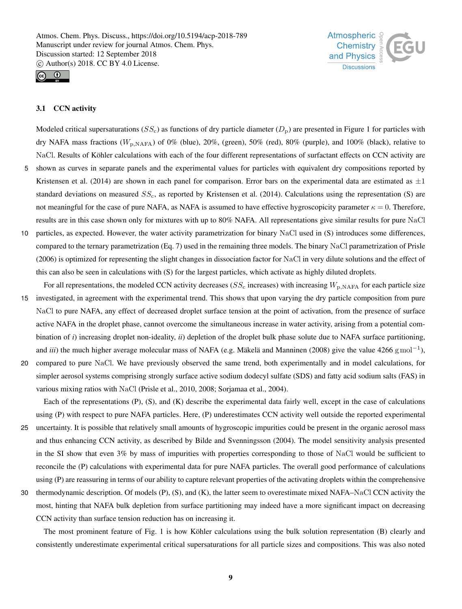



# 3.1 CCN activity

Modeled critical supersaturations ( $SS<sub>c</sub>$ ) as functions of dry particle diameter ( $D<sub>p</sub>$ ) are presented in Figure 1 for particles with dry NAFA mass fractions ( $W_{\text{p,NAFA}}$ ) of 0% (blue), 20%, (green), 50% (red), 80% (purple), and 100% (black), relative to NaCl. Results of Köhler calculations with each of the four different representations of surfactant effects on CCN activity are 5 shown as curves in separate panels and the experimental values for particles with equivalent dry compositions reported by Kristensen et al. (2014) are shown in each panel for comparison. Error bars on the experimental data are estimated as  $\pm 1$ standard deviations on measured  $SS_c$ , as reported by Kristensen et al. (2014). Calculations using the representation (S) are not meaningful for the case of pure NAFA, as NAFA is assumed to have effective hygroscopicity parameter  $\kappa = 0$ . Therefore, results are in this case shown only for mixtures with up to 80% NAFA. All representations give similar results for pure NaCl

- 10 particles, as expected. However, the water activity parametrization for binary NaCl used in (S) introduces some differences, compared to the ternary parametrization (Eq. 7) used in the remaining three models. The binary NaCl parametrization of Prisle (2006) is optimized for representing the slight changes in dissociation factor for NaCl in very dilute solutions and the effect of this can also be seen in calculations with (S) for the largest particles, which activate as highly diluted droplets.
- For all representations, the modeled CCN activity decreases ( $SS<sub>c</sub>$  increases) with increasing  $W<sub>p,NAFA</sub>$  for each particle size 15 investigated, in agreement with the experimental trend. This shows that upon varying the dry particle composition from pure NaCl to pure NAFA, any effect of decreased droplet surface tension at the point of activation, from the presence of surface active NAFA in the droplet phase, cannot overcome the simultaneous increase in water activity, arising from a potential combination of *i*) increasing droplet non-ideality, *ii*) depletion of the droplet bulk phase solute due to NAFA surface partitioning, and *iii*) the much higher average molecular mass of NAFA (e.g. Mäkelä and Manninen (2008) give the value 4266  $\rm{g} \rm{mol}^{-1}$ ),
- 20 compared to pure NaCl. We have previously observed the same trend, both experimentally and in model calculations, for simpler aerosol systems comprising strongly surface active sodium dodecyl sulfate (SDS) and fatty acid sodium salts (FAS) in various mixing ratios with NaCl (Prisle et al., 2010, 2008; Sorjamaa et al., 2004).

Each of the representations (P), (S), and (K) describe the experimental data fairly well, except in the case of calculations using (P) with respect to pure NAFA particles. Here, (P) underestimates CCN activity well outside the reported experimental

- 25 uncertainty. It is possible that relatively small amounts of hygroscopic impurities could be present in the organic aerosol mass and thus enhancing CCN activity, as described by Bilde and Svenningsson (2004). The model sensitivity analysis presented in the SI show that even 3% by mass of impurities with properties corresponding to those of NaCl would be sufficient to reconcile the (P) calculations with experimental data for pure NAFA particles. The overall good performance of calculations using (P) are reassuring in terms of our ability to capture relevant properties of the activating droplets within the comprehensive
- 30 thermodynamic description. Of models (P), (S), and (K), the latter seem to overestimate mixed NAFA–NaCl CCN activity the most, hinting that NAFA bulk depletion from surface partitioning may indeed have a more significant impact on decreasing CCN activity than surface tension reduction has on increasing it.

The most prominent feature of Fig. 1 is how Köhler calculations using the bulk solution representation (B) clearly and consistently underestimate experimental critical supersaturations for all particle sizes and compositions. This was also noted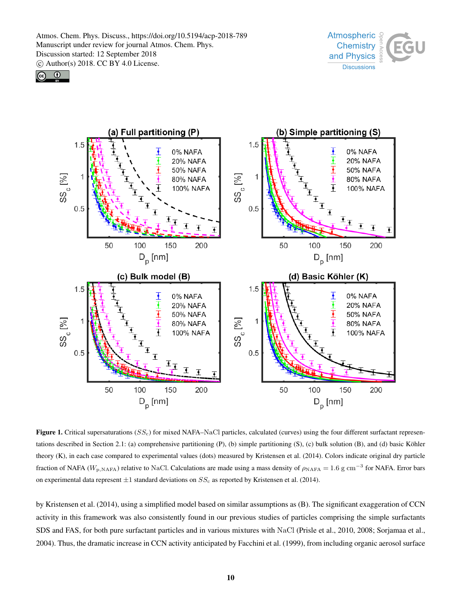





**Figure 1.** Critical supersaturations  $(SS<sub>c</sub>)$  for mixed NAFA–NaCl particles, calculated (curves) using the four different surfactant representations described in Section 2.1: (a) comprehensive partitioning (P), (b) simple partitioning (S), (c) bulk solution (B), and (d) basic Köhler theory (K), in each case compared to experimental values (dots) measured by Kristensen et al. (2014). Colors indicate original dry particle fraction of NAFA ( $W_{\rm p,NAFA}$ ) relative to NaCl. Calculations are made using a mass density of  $\rho_{\rm NAFA} = 1.6$  g cm<sup>-3</sup> for NAFA. Error bars on experimental data represent  $\pm 1$  standard deviations on  $SS_c$  as reported by Kristensen et al. (2014).

by Kristensen et al. (2014), using a simplified model based on similar assumptions as (B). The significant exaggeration of CCN activity in this framework was also consistently found in our previous studies of particles comprising the simple surfactants SDS and FAS, for both pure surfactant particles and in various mixtures with NaCl (Prisle et al., 2010, 2008; Sorjamaa et al., 2004). Thus, the dramatic increase in CCN activity anticipated by Facchini et al. (1999), from including organic aerosol surface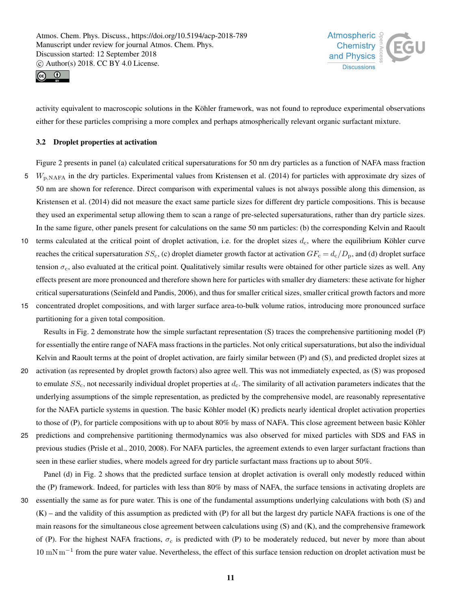



activity equivalent to macroscopic solutions in the Köhler framework, was not found to reproduce experimental observations either for these particles comprising a more complex and perhaps atmospherically relevant organic surfactant mixture.

## 3.2 Droplet properties at activation

Figure 2 presents in panel (a) calculated critical supersaturations for 50 nm dry particles as a function of NAFA mass fraction  $5$   $W_{\rm p,NAFA}$  in the dry particles. Experimental values from Kristensen et al. (2014) for particles with approximate dry sizes of 50 nm are shown for reference. Direct comparison with experimental values is not always possible along this dimension, as Kristensen et al. (2014) did not measure the exact same particle sizes for different dry particle compositions. This is because they used an experimental setup allowing them to scan a range of pre-selected supersaturations, rather than dry particle sizes. In the same figure, other panels present for calculations on the same 50 nm particles: (b) the corresponding Kelvin and Raoult

- 10 terms calculated at the critical point of droplet activation, i.e. for the droplet sizes  $d_c$ , where the equilibrium Köhler curve reaches the critical supersaturation  $SS_c$ , (c) droplet diameter growth factor at activation  $GF_c = d_c/D_p$ , and (d) droplet surface tension  $\sigma_c$ , also evaluated at the critical point. Qualitatively similar results were obtained for other particle sizes as well. Any effects present are more pronounced and therefore shown here for particles with smaller dry diameters: these activate for higher critical supersaturations (Seinfeld and Pandis, 2006), and thus for smaller critical sizes, smaller critical growth factors and more
- 15 concentrated droplet compositions, and with larger surface area-to-bulk volume ratios, introducing more pronounced surface partitioning for a given total composition.

Results in Fig. 2 demonstrate how the simple surfactant representation (S) traces the comprehensive partitioning model (P) for essentially the entire range of NAFA mass fractions in the particles. Not only critical supersaturations, but also the individual Kelvin and Raoult terms at the point of droplet activation, are fairly similar between (P) and (S), and predicted droplet sizes at

- 20 activation (as represented by droplet growth factors) also agree well. This was not immediately expected, as (S) was proposed to emulate  $SS<sub>c</sub>$ , not necessarily individual droplet properties at  $d<sub>c</sub>$ . The similarity of all activation parameters indicates that the underlying assumptions of the simple representation, as predicted by the comprehensive model, are reasonably representative for the NAFA particle systems in question. The basic Köhler model (K) predicts nearly identical droplet activation properties to those of (P), for particle compositions with up to about 80% by mass of NAFA. This close agreement between basic Köhler
- 25 predictions and comprehensive partitioning thermodynamics was also observed for mixed particles with SDS and FAS in previous studies (Prisle et al., 2010, 2008). For NAFA particles, the agreement extends to even larger surfactant fractions than seen in these earlier studies, where models agreed for dry particle surfactant mass fractions up to about 50%.

Panel (d) in Fig. 2 shows that the predicted surface tension at droplet activation is overall only modestly reduced within the (P) framework. Indeed, for particles with less than 80% by mass of NAFA, the surface tensions in activating droplets are 30 essentially the same as for pure water. This is one of the fundamental assumptions underlying calculations with both (S) and

(K) – and the validity of this assumption as predicted with (P) for all but the largest dry particle NAFA fractions is one of the main reasons for the simultaneous close agreement between calculations using (S) and (K), and the comprehensive framework of (P). For the highest NAFA fractions,  $\sigma_c$  is predicted with (P) to be moderately reduced, but never by more than about 10 mNm−<sup>1</sup> from the pure water value. Nevertheless, the effect of this surface tension reduction on droplet activation must be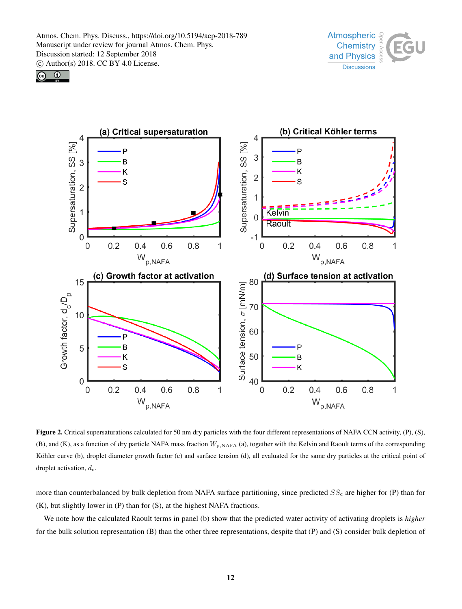





Figure 2. Critical supersaturations calculated for 50 nm dry particles with the four different representations of NAFA CCN activity, (P), (S), (B), and (K), as a function of dry particle NAFA mass fraction  $W_{p,NAFA}$  (a), together with the Kelvin and Raoult terms of the corresponding Köhler curve (b), droplet diameter growth factor (c) and surface tension (d), all evaluated for the same dry particles at the critical point of droplet activation,  $d_c$ .

more than counterbalanced by bulk depletion from NAFA surface partitioning, since predicted  $SS_c$  are higher for (P) than for (K), but slightly lower in (P) than for (S), at the highest NAFA fractions.

We note how the calculated Raoult terms in panel (b) show that the predicted water activity of activating droplets is *higher* for the bulk solution representation (B) than the other three representations, despite that (P) and (S) consider bulk depletion of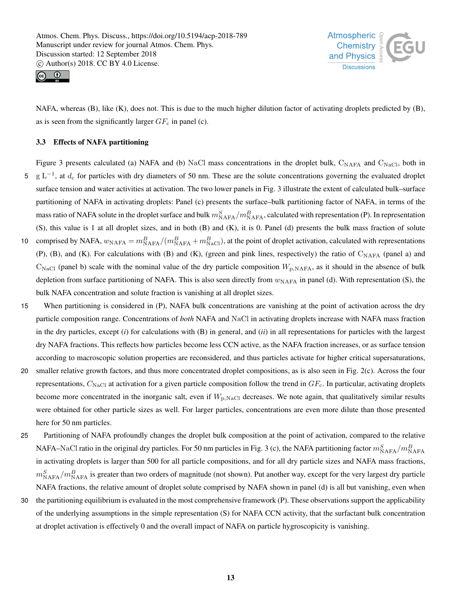



NAFA, whereas (B), like (K), does not. This is due to the much higher dilution factor of activating droplets predicted by (B), as is seen from the significantly larger  $GF_c$  in panel (c).

# 3.3 Effects of NAFA partitioning

- Figure 3 presents calculated (a) NAFA and (b) NaCl mass concentrations in the droplet bulk,  $C_{NAFA}$  and  $C_{NaCl}$ , both in  $5 \text{ g L}^{-1}$ , at  $d_c$  for particles with dry diameters of 50 nm. These are the solute concentrations governing the evaluated droplet surface tension and water activities at activation. The two lower panels in Fig. 3 illustrate the extent of calculated bulk–surface partitioning of NAFA in activating droplets: Panel (c) presents the surface–bulk partitioning factor of NAFA, in terms of the mass ratio of NAFA solute in the droplet surface and bulk  $m_{\rm NAFA}^S/m_{\rm NAFA}^B$ , calculated with representation (P). In representation (S), this value is 1 at all droplet sizes, and in both (B) and (K), it is 0. Panel (d) presents the bulk mass fraction of solute
- 10 comprised by NAFA,  $w_{\text{NAFA}} = m_{\text{NAFA}}^B/(m_{\text{NAFA}}^B + m_{\text{NaCl}}^B)$ , at the point of droplet activation, calculated with representations (P), (B), and (K). For calculations with (B) and (K), (green and pink lines, respectively) the ratio of  $C_{\text{NAFA}}$  (panel a) and  $C_{\text{NaCl}}$  (panel b) scale with the nominal value of the dry particle composition  $W_{\text{p,NAFA}}$ , as it should in the absence of bulk depletion from surface partitioning of NAFA. This is also seen directly from  $w_{\text{NAFA}}$  in panel (d). With representation (S), the bulk NAFA concentration and solute fraction is vanishing at all droplet sizes.
- 15 When partitioning is considered in (P), NAFA bulk concentrations are vanishing at the point of activation across the dry particle composition range. Concentrations of *both* NAFA and NaCl in activating droplets increase with NAFA mass fraction in the dry particles, except (*i*) for calculations with (B) in general, and (*ii*) in all representations for particles with the largest dry NAFA fractions. This reflects how particles become less CCN active, as the NAFA fraction increases, or as surface tension according to macroscopic solution properties are reconsidered, and thus particles activate for higher critical supersaturations,
- 20 smaller relative growth factors, and thus more concentrated droplet compositions, as is also seen in Fig. 2(c). Across the four representations,  $C_{\text{NaCl}}$  at activation for a given particle composition follow the trend in  $GF_c$ . In particular, activating droplets become more concentrated in the inorganic salt, even if  $W_{p,NaCl}$  decreases. We note again, that qualitatively similar results were obtained for other particle sizes as well. For larger particles, concentrations are even more dilute than those presented here for 50 nm particles.
- 25 Partitioning of NAFA profoundly changes the droplet bulk composition at the point of activation, compared to the relative NAFA–NaCl ratio in the original dry particles. For 50 nm particles in Fig. 3 (c), the NAFA partitioning factor  $m_{\text{NAFA}}^S/m_{\text{NAFA}}^B$ in activating droplets is larger than 500 for all particle compositions, and for all dry particle sizes and NAFA mass fractions,  $m_{\text{NAFA}}^S/m_{\text{NAFA}}^B$  is greater than two orders of magnitude (not shown). Put another way, except for the very largest dry particle NAFA fractions, the relative amount of droplet solute comprised by NAFA shown in panel (d) is all but vanishing, even when
- 30 the partitioning equilibrium is evaluated in the most comprehensive framework (P). These observations support the applicability of the underlying assumptions in the simple representation (S) for NAFA CCN activity, that the surfactant bulk concentration at droplet activation is effectively 0 and the overall impact of NAFA on particle hygroscopicity is vanishing.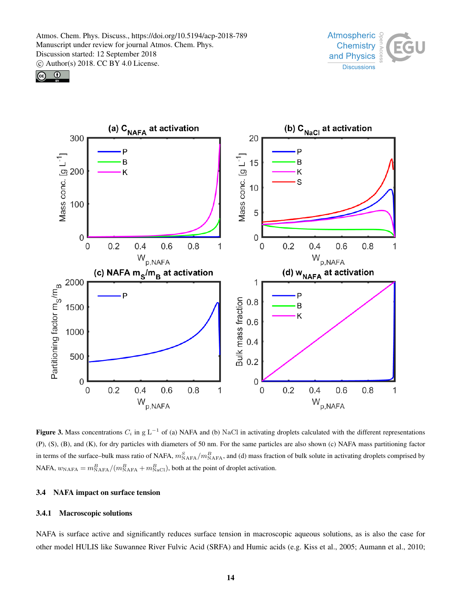





**Figure 3.** Mass concentrations  $C_i$  in g L<sup>-1</sup> of (a) NAFA and (b) NaCl in activating droplets calculated with the different representations (P), (S), (B), and (K), for dry particles with diameters of 50 nm. For the same particles are also shown (c) NAFA mass partitioning factor in terms of the surface–bulk mass ratio of NAFA,  $m_{\text{NAFA}}^S/m_{\text{NAFA}}^B$ , and (d) mass fraction of bulk solute in activating droplets comprised by NAFA,  $w_{\text{NAFA}} = m_{\text{NAFA}}^B/(m_{\text{NAFA}}^B + m_{\text{NaCl}}^B)$ , both at the point of droplet activation.

## 3.4 NAFA impact on surface tension

# 3.4.1 Macroscopic solutions

NAFA is surface active and significantly reduces surface tension in macroscopic aqueous solutions, as is also the case for other model HULIS like Suwannee River Fulvic Acid (SRFA) and Humic acids (e.g. Kiss et al., 2005; Aumann et al., 2010;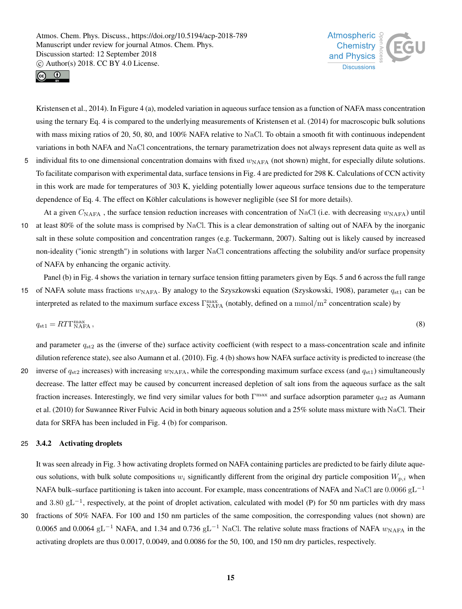



Kristensen et al., 2014). In Figure 4 (a), modeled variation in aqueous surface tension as a function of NAFA mass concentration using the ternary Eq. 4 is compared to the underlying measurements of Kristensen et al. (2014) for macroscopic bulk solutions with mass mixing ratios of 20, 50, 80, and 100% NAFA relative to NaCl. To obtain a smooth fit with continuous independent variations in both NAFA and NaCl concentrations, the ternary parametrization does not always represent data quite as well as 5 individual fits to one dimensional concentration domains with fixed  $w<sub>NAFA</sub>$  (not shown) might, for especially dilute solutions.

To facilitate comparison with experimental data, surface tensions in Fig. 4 are predicted for 298 K. Calculations of CCN activity in this work are made for temperatures of 303 K, yielding potentially lower aqueous surface tensions due to the temperature dependence of Eq. 4. The effect on Köhler calculations is however negligible (see SI for more details).

At a given  $C_{\text{NAFA}}$ , the surface tension reduction increases with concentration of NaCl (i.e. with decreasing  $w_{\text{NAFA}}$ ) until 10 at least 80% of the solute mass is comprised by NaCl. This is a clear demonstration of salting out of NAFA by the inorganic salt in these solute composition and concentration ranges (e.g. Tuckermann, 2007). Salting out is likely caused by increased non-ideality ("ionic strength") in solutions with larger NaCl concentrations affecting the solubility and/or surface propensity of NAFA by enhancing the organic activity.

Panel (b) in Fig. 4 shows the variation in ternary surface tension fitting parameters given by Eqs. 5 and 6 across the full range 15 of NAFA solute mass fractions  $w_{\text{NAFA}}$ . By analogy to the Szyszkowski equation (Szyskowski, 1908), parameter  $q_{\text{st1}}$  can be interpreted as related to the maximum surface excess  $\Gamma_{\text{NAFA}}^{\text{max}}$  (notably, defined on a mmol/m<sup>2</sup> concentration scale) by

$$
q_{\rm st1} = RT\Gamma_{\rm NAFA}^{\rm max},\tag{8}
$$

and parameter  $q_{\text{st2}}$  as the (inverse of the) surface activity coefficient (with respect to a mass-concentration scale and infinite dilution reference state), see also Aumann et al. (2010). Fig. 4 (b) shows how NAFA surface activity is predicted to increase (the 20 inverse of  $q_{st2}$  increases) with increasing  $w_{\text{NAFA}}$ , while the corresponding maximum surface excess (and  $q_{st1}$ ) simultaneously decrease. The latter effect may be caused by concurrent increased depletion of salt ions from the aqueous surface as the salt fraction increases. Interestingly, we find very similar values for both  $\Gamma^{max}$  and surface adsorption parameter  $q_{st2}$  as Aumann et al. (2010) for Suwannee River Fulvic Acid in both binary aqueous solution and a 25% solute mass mixture with NaCl. Their data for SRFA has been included in Fig. 4 (b) for comparison.

# 25 3.4.2 Activating droplets

It was seen already in Fig. 3 how activating droplets formed on NAFA containing particles are predicted to be fairly dilute aqueous solutions, with bulk solute compositions  $w_i$  significantly different from the original dry particle composition  $W_{p,i}$  when NAFA bulk–surface partitioning is taken into account. For example, mass concentrations of NAFA and NaCl are 0.0066 gL<sup>-1</sup> and 3.80  $gL^{-1}$ , respectively, at the point of droplet activation, calculated with model (P) for 50 nm particles with dry mass

30 fractions of 50% NAFA. For 100 and 150 nm particles of the same composition, the corresponding values (not shown) are 0.0065 and 0.0064 gL<sup>-1</sup> NAFA, and 1.34 and 0.736 gL<sup>-1</sup> NaCl. The relative solute mass fractions of NAFA  $w_{\text{NAFA}}$  in the activating droplets are thus 0.0017, 0.0049, and 0.0086 for the 50, 100, and 150 nm dry particles, respectively.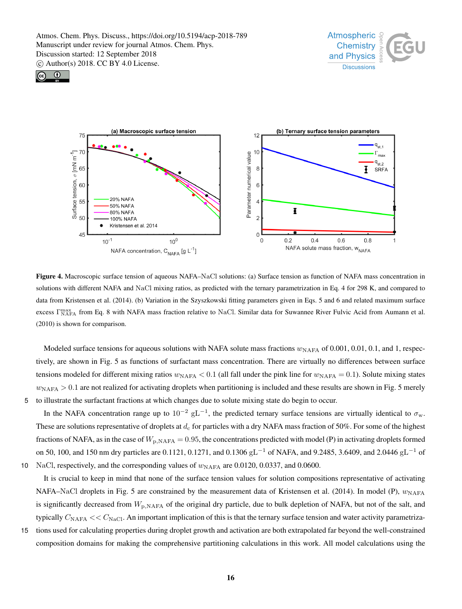





Figure 4. Macroscopic surface tension of aqueous NAFA–NaCl solutions: (a) Surface tension as function of NAFA mass concentration in solutions with different NAFA and NaCl mixing ratios, as predicted with the ternary parametrization in Eq. 4 for 298 K, and compared to data from Kristensen et al. (2014). (b) Variation in the Szyszkowski fitting parameters given in Eqs. 5 and 6 and related maximum surface excess  $\Gamma_{\text{NAFA}}^{\text{max}}$  from Eq. 8 with NAFA mass fraction relative to NaCl. Similar data for Suwannee River Fulvic Acid from Aumann et al. (2010) is shown for comparison.

Modeled surface tensions for aqueous solutions with NAFA solute mass fractions  $w_{\text{NAFA}}$  of 0.001, 0.01, 0.1, and 1, respectively, are shown in Fig. 5 as functions of surfactant mass concentration. There are virtually no differences between surface tensions modeled for different mixing ratios  $w_{\text{NAFA}} < 0.1$  (all fall under the pink line for  $w_{\text{NAFA}} = 0.1$ ). Solute mixing states  $w<sub>NAFA</sub> > 0.1$  are not realized for activating droplets when partitioning is included and these results are shown in Fig. 5 merely 5 to illustrate the surfactant fractions at which changes due to solute mixing state do begin to occur.

In the NAFA concentration range up to  $10^{-2}$  gL<sup>-1</sup>, the predicted ternary surface tensions are virtually identical to  $\sigma_w$ . These are solutions representative of droplets at  $d_c$  for particles with a dry NAFA mass fraction of 50%. For some of the highest fractions of NAFA, as in the case of  $W_{p,NAFA} = 0.95$ , the concentrations predicted with model (P) in activating droplets formed on 50, 100, and 150 nm dry particles are 0.1121, 0.1271, and 0.1306 gL<sup>-1</sup> of NAFA, and 9.2485, 3.6409, and 2.0446 gL<sup>-1</sup> of 10 NaCl, respectively, and the corresponding values of  $w_{\text{NAFA}}$  are 0.0120, 0.0337, and 0.0600.

It is crucial to keep in mind that none of the surface tension values for solution compositions representative of activating NAFA–NaCl droplets in Fig. 5 are constrained by the measurement data of Kristensen et al. (2014). In model (P),  $w_{\text{NAFA}}$ is significantly decreased from  $W_{\rm p,NAFA}$  of the original dry particle, due to bulk depletion of NAFA, but not of the salt, and typically  $C_{\text{NAFA}} \ll C_{\text{NaCl}}$ . An important implication of this is that the ternary surface tension and water activity parametriza-

15 tions used for calculating properties during droplet growth and activation are both extrapolated far beyond the well-constrained composition domains for making the comprehensive partitioning calculations in this work. All model calculations using the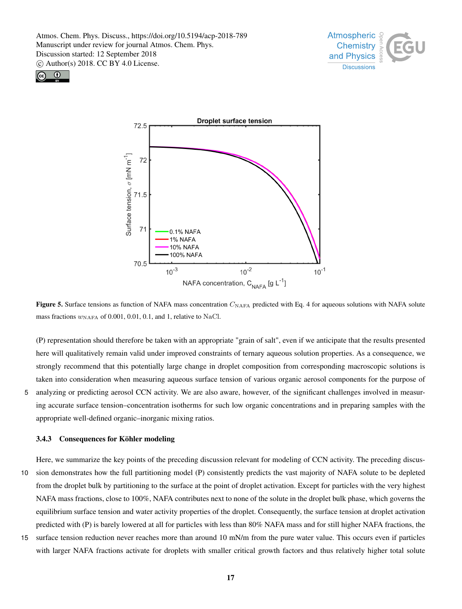





**Figure 5.** Surface tensions as function of NAFA mass concentration  $C_{\text{NAFA}}$  predicted with Eq. 4 for aqueous solutions with NAFA solute mass fractions  $w_{\text{NAFA}}$  of 0.001, 0.01, 0.1, and 1, relative to NaCl.

(P) representation should therefore be taken with an appropriate "grain of salt", even if we anticipate that the results presented here will qualitatively remain valid under improved constraints of ternary aqueous solution properties. As a consequence, we strongly recommend that this potentially large change in droplet composition from corresponding macroscopic solutions is taken into consideration when measuring aqueous surface tension of various organic aerosol components for the purpose of

5 analyzing or predicting aerosol CCN activity. We are also aware, however, of the significant challenges involved in measuring accurate surface tension–concentration isotherms for such low organic concentrations and in preparing samples with the appropriate well-defined organic–inorganic mixing ratios.

## 3.4.3 Consequences for Köhler modeling

Here, we summarize the key points of the preceding discussion relevant for modeling of CCN activity. The preceding discus-10 sion demonstrates how the full partitioning model (P) consistently predicts the vast majority of NAFA solute to be depleted from the droplet bulk by partitioning to the surface at the point of droplet activation. Except for particles with the very highest NAFA mass fractions, close to 100%, NAFA contributes next to none of the solute in the droplet bulk phase, which governs the equilibrium surface tension and water activity properties of the droplet. Consequently, the surface tension at droplet activation predicted with (P) is barely lowered at all for particles with less than 80% NAFA mass and for still higher NAFA fractions, the

15 surface tension reduction never reaches more than around 10 mN/m from the pure water value. This occurs even if particles with larger NAFA fractions activate for droplets with smaller critical growth factors and thus relatively higher total solute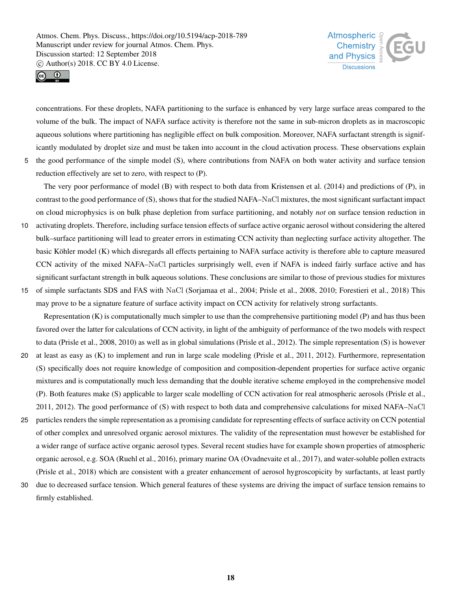



concentrations. For these droplets, NAFA partitioning to the surface is enhanced by very large surface areas compared to the volume of the bulk. The impact of NAFA surface activity is therefore not the same in sub-micron droplets as in macroscopic aqueous solutions where partitioning has negligible effect on bulk composition. Moreover, NAFA surfactant strength is significantly modulated by droplet size and must be taken into account in the cloud activation process. These observations explain 5 the good performance of the simple model (S), where contributions from NAFA on both water activity and surface tension reduction effectively are set to zero, with respect to (P).

The very poor performance of model (B) with respect to both data from Kristensen et al. (2014) and predictions of (P), in contrast to the good performance of (S), shows that for the studied NAFA–NaCl mixtures, the most significant surfactant impact on cloud microphysics is on bulk phase depletion from surface partitioning, and notably *not* on surface tension reduction in

- 10 activating droplets. Therefore, including surface tension effects of surface active organic aerosol without considering the altered bulk–surface partitioning will lead to greater errors in estimating CCN activity than neglecting surface activity altogether. The basic Köhler model (K) which disregards all effects pertaining to NAFA surface activity is therefore able to capture measured CCN activity of the mixed NAFA–NaCl particles surprisingly well, even if NAFA is indeed fairly surface active and has significant surfactant strength in bulk aqueous solutions. These conclusions are similar to those of previous studies for mixtures
- 15 of simple surfactants SDS and FAS with NaCl (Sorjamaa et al., 2004; Prisle et al., 2008, 2010; Forestieri et al., 2018) This may prove to be a signature feature of surface activity impact on CCN activity for relatively strong surfactants.

Representation  $(K)$  is computationally much simpler to use than the comprehensive partitioning model  $(P)$  and has thus been favored over the latter for calculations of CCN activity, in light of the ambiguity of performance of the two models with respect to data (Prisle et al., 2008, 2010) as well as in global simulations (Prisle et al., 2012). The simple representation (S) is however

- 20 at least as easy as (K) to implement and run in large scale modeling (Prisle et al., 2011, 2012). Furthermore, representation (S) specifically does not require knowledge of composition and composition-dependent properties for surface active organic mixtures and is computationally much less demanding that the double iterative scheme employed in the comprehensive model (P). Both features make (S) applicable to larger scale modelling of CCN activation for real atmospheric aerosols (Prisle et al., 2011, 2012). The good performance of (S) with respect to both data and comprehensive calculations for mixed NAFA–NaCl
- 25 particles renders the simple representation as a promising candidate for representing effects of surface activity on CCN potential of other complex and unresolved organic aerosol mixtures. The validity of the representation must however be established for a wider range of surface active organic aerosol types. Several recent studies have for example shown properties of atmospheric organic aerosol, e.g. SOA (Ruehl et al., 2016), primary marine OA (Ovadnevaite et al., 2017), and water-soluble pollen extracts (Prisle et al., 2018) which are consistent with a greater enhancement of aerosol hygroscopicity by surfactants, at least partly
- 30 due to decreased surface tension. Which general features of these systems are driving the impact of surface tension remains to firmly established.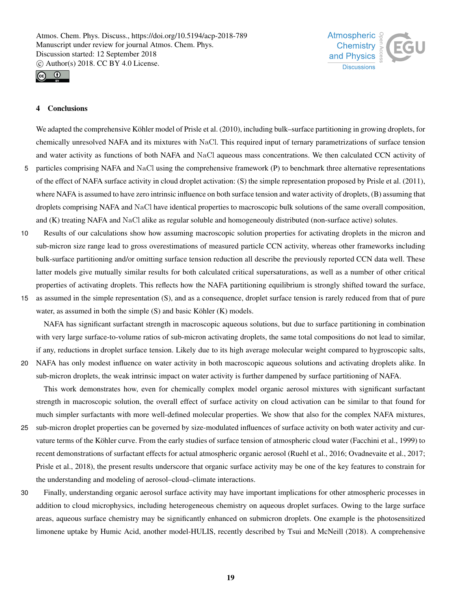



# 4 Conclusions

We adapted the comprehensive Köhler model of Prisle et al. (2010), including bulk–surface partitioning in growing droplets, for chemically unresolved NAFA and its mixtures with NaCl. This required input of ternary parametrizations of surface tension and water activity as functions of both NAFA and NaCl aqueous mass concentrations. We then calculated CCN activity of 5 particles comprising NAFA and NaCl using the comprehensive framework (P) to benchmark three alternative representations of the effect of NAFA surface activity in cloud droplet activation: (S) the simple representation proposed by Prisle et al. (2011), where NAFA is assumed to have zero intrinsic influence on both surface tension and water activity of droplets, (B) assuming that

droplets comprising NAFA and NaCl have identical properties to macroscopic bulk solutions of the same overall composition, and (K) treating NAFA and NaCl alike as regular soluble and homogeneouly distributed (non-surface active) solutes.

- 10 Results of our calculations show how assuming macroscopic solution properties for activating droplets in the micron and sub-micron size range lead to gross overestimations of measured particle CCN activity, whereas other frameworks including bulk-surface partitioning and/or omitting surface tension reduction all describe the previously reported CCN data well. These latter models give mutually similar results for both calculated critical supersaturations, as well as a number of other critical properties of activating droplets. This reflects how the NAFA partitioning equilibrium is strongly shifted toward the surface,
- 15 as assumed in the simple representation (S), and as a consequence, droplet surface tension is rarely reduced from that of pure water, as assumed in both the simple (S) and basic Köhler (K) models.

NAFA has significant surfactant strength in macroscopic aqueous solutions, but due to surface partitioning in combination with very large surface-to-volume ratios of sub-micron activating droplets, the same total compositions do not lead to similar, if any, reductions in droplet surface tension. Likely due to its high average molecular weight compared to hygroscopic salts, 20 NAFA has only modest influence on water activity in both macroscopic aqueous solutions and activating droplets alike. In

sub-micron droplets, the weak intrinsic impact on water activity is further dampened by surface partitioning of NAFA.

This work demonstrates how, even for chemically complex model organic aerosol mixtures with significant surfactant strength in macroscopic solution, the overall effect of surface activity on cloud activation can be similar to that found for much simpler surfactants with more well-defined molecular properties. We show that also for the complex NAFA mixtures,

- 25 sub-micron droplet properties can be governed by size-modulated influences of surface activity on both water activity and curvature terms of the Köhler curve. From the early studies of surface tension of atmospheric cloud water (Facchini et al., 1999) to recent demonstrations of surfactant effects for actual atmospheric organic aerosol (Ruehl et al., 2016; Ovadnevaite et al., 2017; Prisle et al., 2018), the present results underscore that organic surface activity may be one of the key features to constrain for the understanding and modeling of aerosol–cloud–climate interactions.
- 30 Finally, understanding organic aerosol surface activity may have important implications for other atmospheric processes in addition to cloud microphysics, including heterogeneous chemistry on aqueous droplet surfaces. Owing to the large surface areas, aqueous surface chemistry may be significantly enhanced on submicron droplets. One example is the photosensitized limonene uptake by Humic Acid, another model-HULIS, recently described by Tsui and McNeill (2018). A comprehensive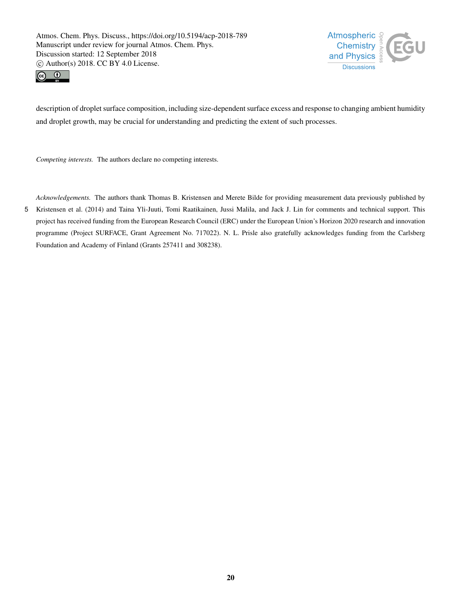



description of droplet surface composition, including size-dependent surface excess and response to changing ambient humidity and droplet growth, may be crucial for understanding and predicting the extent of such processes.

*Competing interests.* The authors declare no competing interests.

*Acknowledgements.* The authors thank Thomas B. Kristensen and Merete Bilde for providing measurement data previously published by

5 Kristensen et al. (2014) and Taina Yli-Juuti, Tomi Raatikainen, Jussi Malila, and Jack J. Lin for comments and technical support. This project has received funding from the European Research Council (ERC) under the European Union's Horizon 2020 research and innovation programme (Project SURFACE, Grant Agreement No. 717022). N. L. Prisle also gratefully acknowledges funding from the Carlsberg Foundation and Academy of Finland (Grants 257411 and 308238).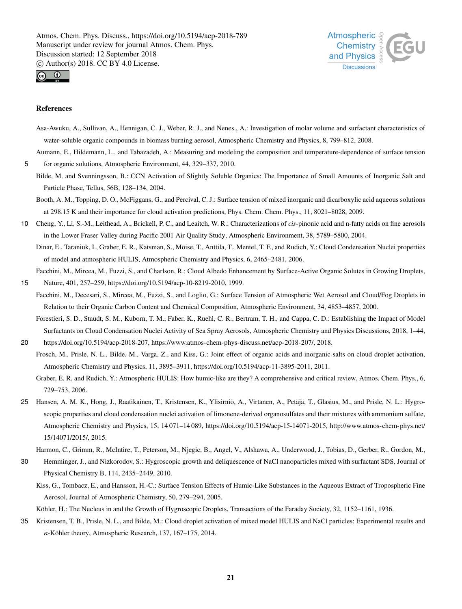



#### References

15/14071/2015/, 2015.

- Asa-Awuku, A., Sullivan, A., Hennigan, C. J., Weber, R. J., and Nenes., A.: Investigation of molar volume and surfactant characteristics of water-soluble organic compounds in biomass burning aerosol, Atmospheric Chemistry and Physics, 8, 799–812, 2008.
- Aumann, E., Hildemann, L., and Tabazadeh, A.: Measuring and modeling the composition and temperature-dependence of surface tension 5 for organic solutions, Atmospheric Environment, 44, 329–337, 2010.
	- Bilde, M. and Svenningsson, B.: CCN Activation of Slightly Soluble Organics: The Importance of Small Amounts of Inorganic Salt and Particle Phase, Tellus, 56B, 128–134, 2004.
	- Booth, A. M., Topping, D. O., McFiggans, G., and Percival, C. J.: Surface tension of mixed inorganic and dicarboxylic acid aqueous solutions at 298.15 K and their importance for cloud activation predictions, Phys. Chem. Chem. Phys., 11, 8021–8028, 2009.
- 10 Cheng, Y., Li, S.-M., Leithead, A., Brickell, P. C., and Leaitch, W. R.: Characterizations of *cis*-pinonic acid and n-fatty acids on fine aerosols in the Lower Fraser Valley during Pacific 2001 Air Quality Study, Atmospheric Environment, 38, 5789–5800, 2004.

Dinar, E., Taraniuk, I., Graber, E. R., Katsman, S., Moise, T., Anttila, T., Mentel, T. F., and Rudich, Y.: Cloud Condensation Nuclei properties of model and atmospheric HULIS, Atmospheric Chemistry and Physics, 6, 2465–2481, 2006.

Facchini, M., Mircea, M., Fuzzi, S., and Charlson, R.: Cloud Albedo Enhancement by Surface-Active Organic Solutes in Growing Droplets, 15 Nature, 401, 257–259, https://doi.org/10.5194/acp-10-8219-2010, 1999.

- Facchini, M., Decesari, S., Mircea, M., Fuzzi, S., and Loglio, G.: Surface Tension of Atmospheric Wet Aerosol and Cloud/Fog Droplets in Relation to their Organic Carbon Content and Chemical Composition, Atmospheric Environment, 34, 4853–4857, 2000.
	- Forestieri, S. D., Staudt, S. M., Kuborn, T. M., Faber, K., Ruehl, C. R., Bertram, T. H., and Cappa, C. D.: Establishing the Impact of Model Surfactants on Cloud Condensation Nuclei Activity of Sea Spray Aerosols, Atmospheric Chemistry and Physics Discussions, 2018, 1–44,
- 20 https://doi.org/10.5194/acp-2018-207, https://www.atmos-chem-phys-discuss.net/acp-2018-207/, 2018. Frosch, M., Prisle, N. L., Bilde, M., Varga, Z., and Kiss, G.: Joint effect of organic acids and inorganic salts on cloud droplet activation, Atmospheric Chemistry and Physics, 11, 3895–3911, https://doi.org/10.5194/acp-11-3895-2011, 2011. Graber, E. R. and Rudich, Y.: Atmospheric HULIS: How humic-like are they? A comprehensive and critical review, Atmos. Chem. Phys., 6,
- 729–753, 2006. 25 Hansen, A. M. K., Hong, J., Raatikainen, T., Kristensen, K., Ylisirniö, A., Virtanen, A., Petäjä, T., Glasius, M., and Prisle, N. L.: Hygroscopic properties and cloud condensation nuclei activation of limonene-derived organosulfates and their mixtures with ammonium sulfate, Atmospheric Chemistry and Physics, 15, 14 071–14 089, https://doi.org/10.5194/acp-15-14071-2015, http://www.atmos-chem-phys.net/
	- Harmon, C., Grimm, R., McIntire, T., Peterson, M., Njegic, B., Angel, V., Alshawa, A., Underwood, J., Tobias, D., Gerber, R., Gordon, M.,
- 30 Hemminger, J., and Nizkorodov, S.: Hygroscopic growth and deliquescence of NaCl nanoparticles mixed with surfactant SDS, Journal of Physical Chemistry B, 114, 2435–2449, 2010.
	- Kiss, G., Tombacz, E., and Hansson, H.-C.: Surface Tension Effects of Humic-Like Substances in the Aqueous Extract of Tropospheric Fine Aerosol, Journal of Atmospheric Chemistry, 50, 279–294, 2005.

Köhler, H.: The Nucleus in and the Growth of Hygroscopic Droplets, Transactions of the Faraday Society, 32, 1152–1161, 1936.

35 Kristensen, T. B., Prisle, N. L., and Bilde, M.: Cloud droplet activation of mixed model HULIS and NaCl particles: Experimental results and κ-Köhler theory, Atmospheric Research, 137, 167–175, 2014.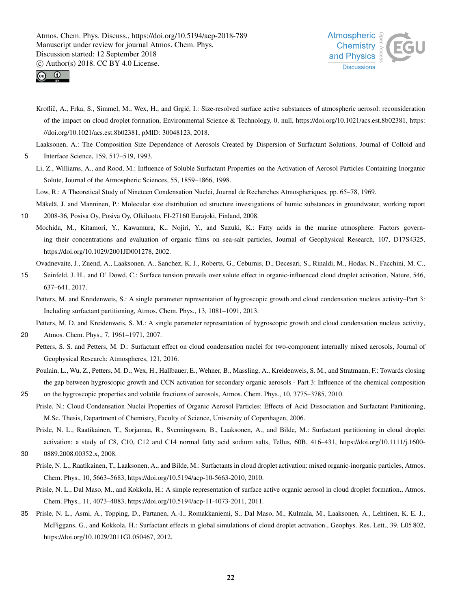



Kroflič, A., Frka, S., Simmel, M., Wex, H., and Grgić, I.: Size-resolved surface active substances of atmospheric aerosol: reconsideration of the impact on cloud droplet formation, Environmental Science & Technology, 0, null, https://doi.org/10.1021/acs.est.8b02381, https: //doi.org/10.1021/acs.est.8b02381, pMID: 30048123, 2018.

Laaksonen, A.: The Composition Size Dependence of Aerosols Created by Dispersion of Surfactant Solutions, Journal of Colloid and

5 Interface Science, 159, 517–519, 1993.

Li, Z., Williams, A., and Rood, M.: Influence of Soluble Surfactant Properties on the Activation of Aerosol Particles Containing Inorganic Solute, Journal of the Atmospheric Sciences, 55, 1859–1866, 1998.

Low, R.: A Theoretical Study of Nineteen Condensation Nuclei, Journal de Recherches Atmospheriques, pp. 65–78, 1969.

Mäkelä, J. and Manninen, P.: Molecular size distribution od structure investigations of humic substances in groundwater, working report

10 2008-36, Posiva Oy, Posiva Oy, Olkiluoto, FI-27160 Eurajoki, Finland, 2008.

Mochida, M., Kitamori, Y., Kawamura, K., Nojiri, Y., and Suzuki, K.: Fatty acids in the marine atmosphere: Factors governing their concentrations and evaluation of organic films on sea-salt particles, Journal of Geophysical Research, 107, D17S4325, https://doi.org/10.1029/2001JD001278, 2002.

Ovadnevaite, J., Zuend, A., Laaksonen, A., Sanchez, K. J., Roberts, G., Ceburnis, D., Decesari, S., Rinaldi, M., Hodas, N., Facchini, M. C.,

- 15 Seinfeld, J. H., and O' Dowd, C.: Surface tension prevails over solute effect in organic-influenced cloud droplet activation, Nature, 546, 637–641, 2017.
	- Petters, M. and Kreidenweis, S.: A single parameter representation of hygroscopic growth and cloud condensation nucleus activity–Part 3: Including surfactant partitioning, Atmos. Chem. Phys., 13, 1081–1091, 2013.

Petters, M. D. and Kreidenweis, S. M.: A single parameter representation of hygroscopic growth and cloud condensation nucleus activity,

20 Atmos. Chem. Phys., 7, 1961–1971, 2007.

Petters, S. S. and Petters, M. D.: Surfactant effect on cloud condensation nuclei for two-component internally mixed aerosols, Journal of Geophysical Research: Atmospheres, 121, 2016.

- Poulain, L., Wu, Z., Petters, M. D., Wex, H., Hallbauer, E., Wehner, B., Massling, A., Kreidenweis, S. M., and Stratmann, F.: Towards closing the gap between hygroscopic growth and CCN activation for secondary organic aerosols - Part 3: Influence of the chemical composition 25 on the hygroscopic properties and volatile fractions of aerosols, Atmos. Chem. Phys., 10, 3775–3785, 2010.
	- Prisle, N.: Cloud Condensation Nuclei Properties of Organic Aerosol Particles: Effects of Acid Dissociation and Surfactant Partitioning, M.Sc. Thesis, Department of Chemistry, Faculty of Science, University of Copenhagen, 2006.
- Prisle, N. L., Raatikainen, T., Sorjamaa, R., Svenningsson, B., Laaksonen, A., and Bilde, M.: Surfactant partitioning in cloud droplet activation: a study of C8, C10, C12 and C14 normal fatty acid sodium salts, Tellus, 60B, 416–431, https://doi.org/10.1111/j.1600- 30 0889.2008.00352.x, 2008.
- 
- Prisle, N. L., Raatikainen, T., Laaksonen, A., and Bilde, M.: Surfactants in cloud droplet activation: mixed organic-inorganic particles, Atmos. Chem. Phys., 10, 5663–5683, https://doi.org/10.5194/acp-10-5663-2010, 2010.
- Prisle, N. L., Dal Maso, M., and Kokkola, H.: A simple representation of surface active organic aerosol in cloud droplet formation., Atmos. Chem. Phys., 11, 4073–4083, https://doi.org/10.5194/acp-11-4073-2011, 2011.
- 35 Prisle, N. L., Asmi, A., Topping, D., Partanen, A.-I., Romakkaniemi, S., Dal Maso, M., Kulmala, M., Laaksonen, A., Lehtinen, K. E. J., McFiggans, G., and Kokkola, H.: Surfactant effects in global simulations of cloud droplet activation., Geophys. Res. Lett., 39, L05 802, https://doi.org/10.1029/2011GL050467, 2012.